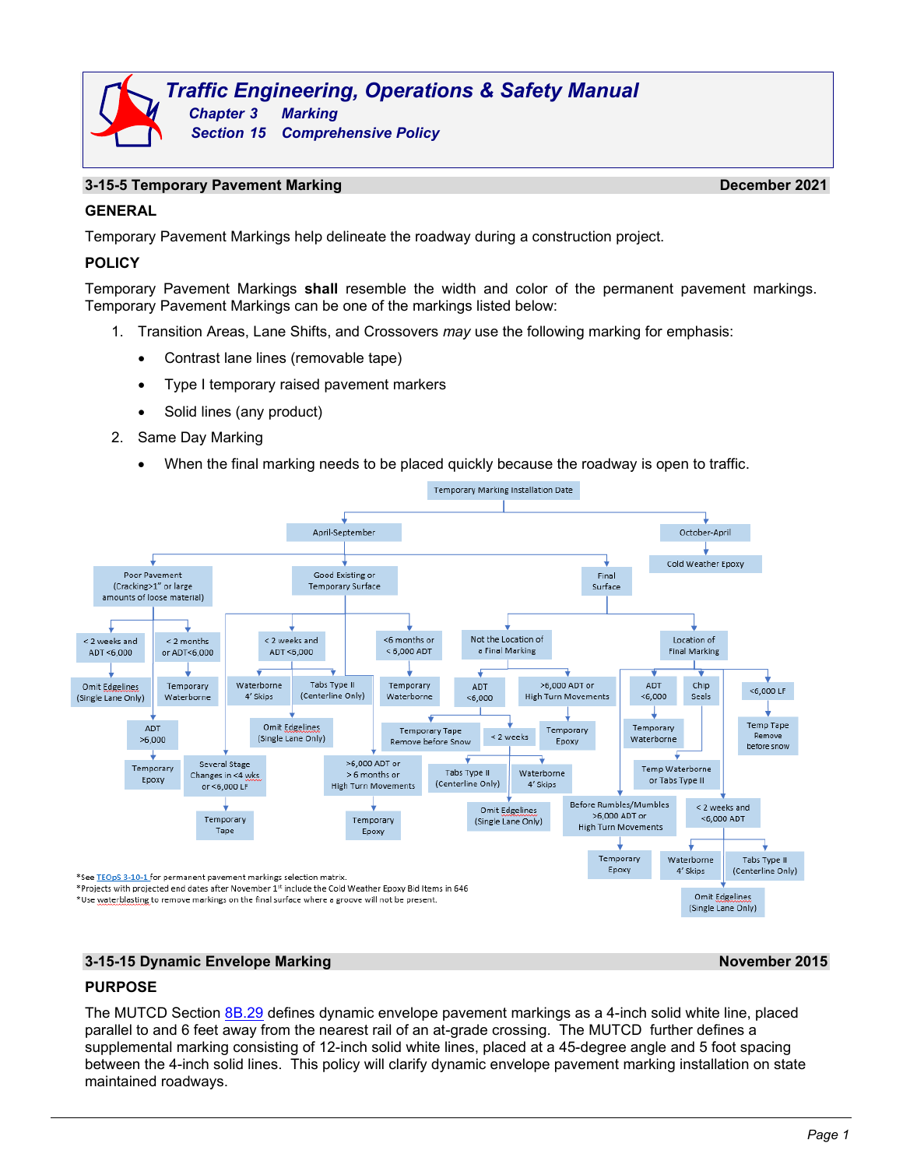## **13-15-5 Temporary Pavement Marking <b>December 2021 December 2021**

# **GENERAL**

Temporary Pavement Markings help delineate the roadway during a construction project.

# **POLICY**

Temporary Pavement Markings **shall** resemble the width and color of the permanent pavement markings. Temporary Pavement Markings can be one of the markings listed below:

- 1. Transition Areas, Lane Shifts, and Crossovers *may* use the following marking for emphasis:
	- Contrast lane lines (removable tape)
	- Type I temporary raised pavement markers
	- Solid lines (any product)
- 2. Same Day Marking
	- When the final marking needs to be placed quickly because the roadway is open to traffic.



### **3-15-15 Dynamic Envelope Marking November 2015**

# **PURPOSE**

The MUTCD Section [8B.29](http://wisconsindot.gov/dtsdManuals/traffic-ops/manuals-and-standards/mutcd-ch08.pdf) defines dynamic envelope pavement markings as a 4-inch solid white line, placed parallel to and 6 feet away from the nearest rail of an at-grade crossing. The MUTCD further defines a supplemental marking consisting of 12-inch solid white lines, placed at a 45-degree angle and 5 foot spacing between the 4-inch solid lines. This policy will clarify dynamic envelope pavement marking installation on state maintained roadways.